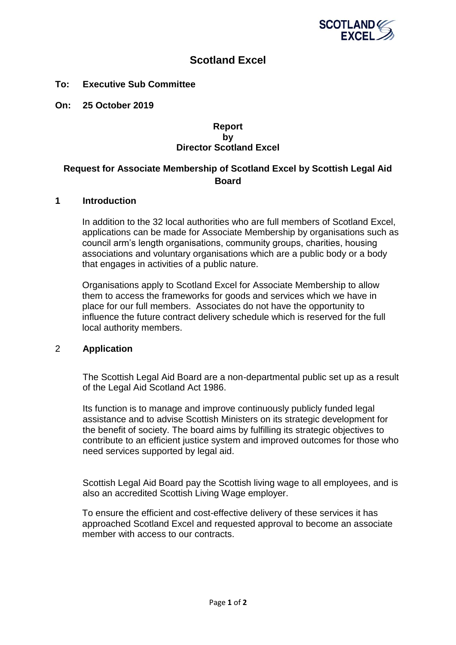

# **Scotland Excel**

### **To: Executive Sub Committee**

**On: 25 October 2019**

#### **Report by Director Scotland Excel**

# **Request for Associate Membership of Scotland Excel by Scottish Legal Aid Board**

#### **1 Introduction**

In addition to the 32 local authorities who are full members of Scotland Excel, applications can be made for Associate Membership by organisations such as council arm's length organisations, community groups, charities, housing associations and voluntary organisations which are a public body or a body that engages in activities of a public nature.

Organisations apply to Scotland Excel for Associate Membership to allow them to access the frameworks for goods and services which we have in place for our full members. Associates do not have the opportunity to influence the future contract delivery schedule which is reserved for the full local authority members.

## 2 **Application**

The Scottish Legal Aid Board are a non-departmental public set up as a result of the Legal Aid Scotland Act 1986.

Its function is to manage and improve continuously publicly funded legal assistance and to advise Scottish Ministers on its strategic development for the benefit of society. The board aims by fulfilling its strategic objectives to contribute to an efficient justice system and improved outcomes for those who need services supported by legal aid.

Scottish Legal Aid Board pay the Scottish living wage to all employees, and is also an accredited Scottish Living Wage employer.

To ensure the efficient and cost-effective delivery of these services it has approached Scotland Excel and requested approval to become an associate member with access to our contracts.